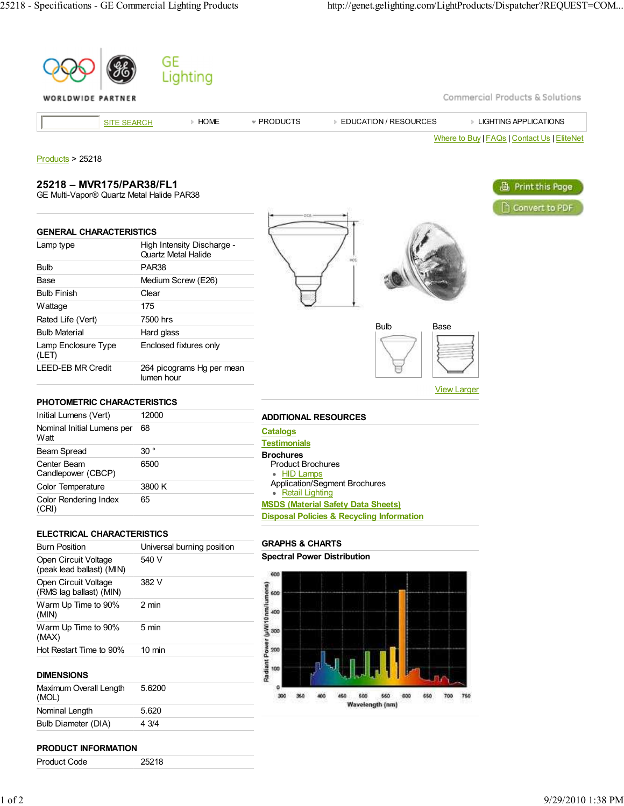**A** Print this Page

Convert to PDF



# **25218 – MVR175/PAR38/FL1**

**GENERAL CHARACTERISTICS**

Bulb PAR38

Bulb Finish Clear Wattage 175 Rated Life (Vert) 7500 hrs Bulb Material Hard glass

Lamp Enclosure Type

(LET)

**Watt** 

(CRI)

Center Beam Candlepower (CBCP)

Color Rendering Index

GE Multi-Vapor® Quartz Metal Halide PAR38

Lamp type **High Intensity Discharge -**

LEED-EB MR Credit 264 picograms Hg per mean

lumen hour

6500

65

Base Medium Screw (E26)

Quartz Metal Halide

Enclosed fixtures only



| <b>Bulb</b> | Base |  |
|-------------|------|--|
|             |      |  |
|             |      |  |
|             |      |  |

View Larger

| <b>Testimonials</b>                       |
|-------------------------------------------|
| <b>Brochures</b>                          |
| <b>Product Brochures</b>                  |
| • HID Lamps                               |
| <b>Application/Segment Brochures</b>      |
| • Retail Lighting                         |
| <b>MSDS (Material Safety Data Sheets)</b> |

#### **ELECTRICAL CHARACTERISTICS**

Color Temperature 3800 K

**PHOTOMETRIC CHARACTERISTICS** Initial Lumens (Vert) 12000 Nominal Initial Lumens per 68

Beam Spread 30 °

| <b>Burn Position</b>                              | Universal burning position |  |  |
|---------------------------------------------------|----------------------------|--|--|
| Open Circuit Voltage<br>(peak lead ballast) (MIN) | 540 V                      |  |  |
| Open Circuit Voltage<br>(RMS lag ballast) (MIN)   | 382 V                      |  |  |
| Warm Up Time to 90%<br>(MIN)                      | 2 min                      |  |  |
| Warm Up Time to 90%<br>(MAX)                      | 5 min                      |  |  |
| Hot Restart Time to 90%                           | $10 \text{ min}$           |  |  |

### **GRAPHS & CHARTS**

**Spectral Power Distribution**



#### **DIMENSIONS**

| Maximum Overall Length<br>(MOL) | 5.6200 |
|---------------------------------|--------|
| Nominal Length                  | 5.620  |
| Bulb Diameter (DIA)             | 4 3/4  |

#### **PRODUCT INFORMATION**

Product Code 25218